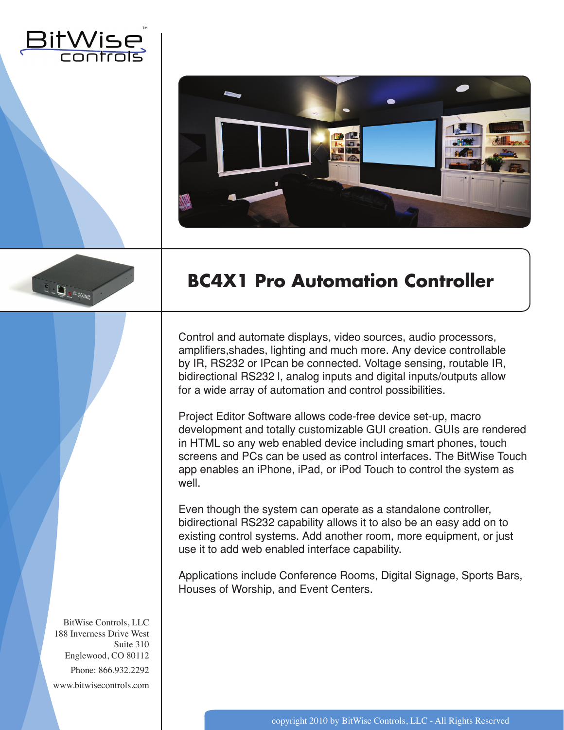





## **BC4X1 Pro Automation Controller**

Control and automate displays, video sources, audio processors, amplifiers,shades, lighting and much more. Any device controllable by IR, RS232 or IPcan be connected. Voltage sensing, routable IR, bidirectional RS232 l, analog inputs and digital inputs/outputs allow for a wide array of automation and control possibilities.

Project Editor Software allows code-free device set-up, macro development and totally customizable GUI creation. GUIs are rendered in HTML so any web enabled device including smart phones, touch screens and PCs can be used as control interfaces. The BitWise Touch app enables an iPhone, iPad, or iPod Touch to control the system as well.

Even though the system can operate as a standalone controller, bidirectional RS232 capability allows it to also be an easy add on to existing control systems. Add another room, more equipment, or just use it to add web enabled interface capability.

Applications include Conference Rooms, Digital Signage, Sports Bars, Houses of Worship, and Event Centers.

BitWise Controls, LLC 188 Inverness Drive West Suite 310 Englewood, CO 80112 Phone: 866.932.2292 www.bitwisecontrols.com